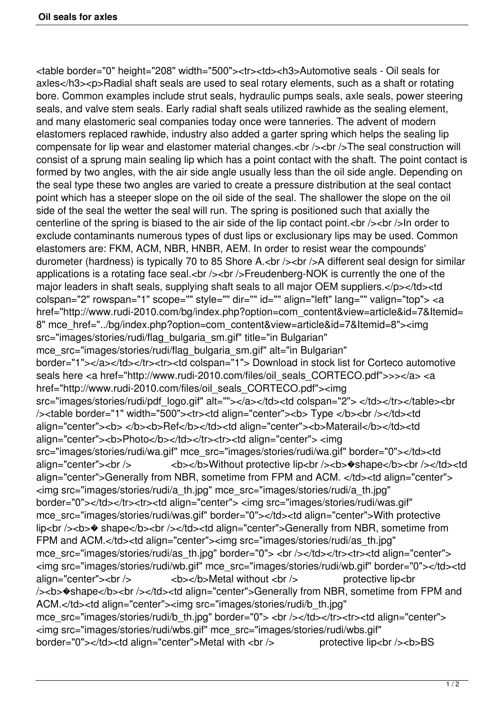<table border="0" height="208" width="500"><tr><td><h3>Automotive seals - Oil seals for axles</h3><p>Radial shaft seals are used to seal rotary elements, such as a shaft or rotating bore. Common examples include strut seals, hydraulic pumps seals, axle seals, power steering seals, and valve stem seals. Early radial shaft seals utilized rawhide as the sealing element, and many elastomeric seal companies today once were tanneries. The advent of modern elastomers replaced rawhide, industry also added a garter spring which helps the sealing lip compensate for lip wear and elastomer material changes.<br />>/>><br />> />The seal construction will consist of a sprung main sealing lip which has a point contact with the shaft. The point contact is formed by two angles, with the air side angle usually less than the oil side angle. Depending on the seal type these two angles are varied to create a pressure distribution at the seal contact point which has a steeper slope on the oil side of the seal. The shallower the slope on the oil side of the seal the wetter the seal will run. The spring is positioned such that axially the centerline of the spring is biased to the air side of the lip contact point.  $\langle$ br  $/$ >  $\rangle$ n order to exclude contaminants numerous types of dust lips or exclusionary lips may be used. Common elastomers are: FKM, ACM, NBR, HNBR, AEM. In order to resist wear the compounds' durometer (hardness) is typically 70 to 85 Shore A.<br />>>>>><br />>>>A different seal design for similar applications is a rotating face seal.<br />>>>>><br />>>>>Freudenberg-NOK is currently the one of the major leaders in shaft seals, supplying shaft seals to all major OEM suppliers.</p>></td><td colspan="2" rowspan="1" scope="" style="" dir="" id="" align="left" lang="" valign="top"> <a href="http://www.rudi-2010.com/bg/index.php?option=com\_content&view=article&id=7&Itemid= 8" mce\_href="../bg/index.php?option=com\_content&view=article&id=7&Itemid=8"><img src="images/stories/rudi/flag\_bulgaria\_sm.gif" title="in Bulgarian" mce src="images/stories/rudi/flag\_bulgaria\_sm.gif" alt="in Bulgarian" border="1"></a></td></tr><tr>><td colspan="1"> Download in stock list for Corteco automotive seals here <a href="http://www.rudi-2010.com/files/oil\_seals\_CORTECO.pdf">>></a> <a href="http://www.rudi-2010.com/files/oil\_seals\_CORTECO.pdf"><img src="images/stories/rudi/pdf\_logo.gif" alt=""></a></td><td colspan="2"> </td></tr></table><br />
/>
ldth="500">
ktr>
td align="center">
ldth>
Type </b>
ldth>
ldth="500">
ktr>
td align="center">
ldth>
ldth="t" width="500">
ktr>
ktr>
d align="center">
ldth>
Type </b>
ktrth>
ldth="t" width="500">
ktrth>
ldth="t" align align="center"><b> </b>>>/b><br/>Ref</b>>/td><td align="center">>b>Materail</b>></td><td align="center"><b>Photo</b></td></tr><tr><td align="center"><img src="images/stories/rudi/wa.gif" mce\_src="images/stories/rudi/wa.gif" border="0"></td><td align="center"><br />>>>> <b></b>>/b>>Without protective lip<br />>>/>><b>\*>b>shape</b>></b></td><td align="center">Generally from NBR, sometime from FPM and ACM. </td><td align="center"> <img src="images/stories/rudi/a\_th.jpg" mce\_src="images/stories/rudi/a\_th.jpg" border="0"></td></tr><tr><td align="center"> <img src="images/stories/rudi/was.gif" mce\_src="images/stories/rudi/was.gif" border="0"></td><td align="center">With protective lip<br />>b>  $\bullet$  shape</b>>br />>/td><td align="center">Generally from NBR, sometime from FPM and ACM.</td><td align="center"><img src="images/stories/rudi/as\_th.jpg" mce\_src="images/stories/rudi/as\_th.jpg" border="0"> <br />> </td></tr>><tr>><td align="center"> <img src="images/stories/rudi/wb.gif" mce\_src="images/stories/rudi/wb.gif" border="0"></td><td align="center"><br />  $\left($  >  $\right)$  <b></b>Metal without <br />> protective lip<br /> /><b>  $\bullet$  shape</b><br />>/td><td align="center">Generally from NBR, sometime from FPM and ACM.</td><td align="center"><img src="images/stories/rudi/b\_th.jpg" mce\_src="images/stories/rudi/b\_th.jpg" border="0"> <br />> </td></tr>><tr><td align="center"> <img src="images/stories/rudi/wbs.gif" mce\_src="images/stories/rudi/wbs.gif" border="0"></td><td align="center">Metal with <br />>
protective lip<br />brid=10"></td>BS